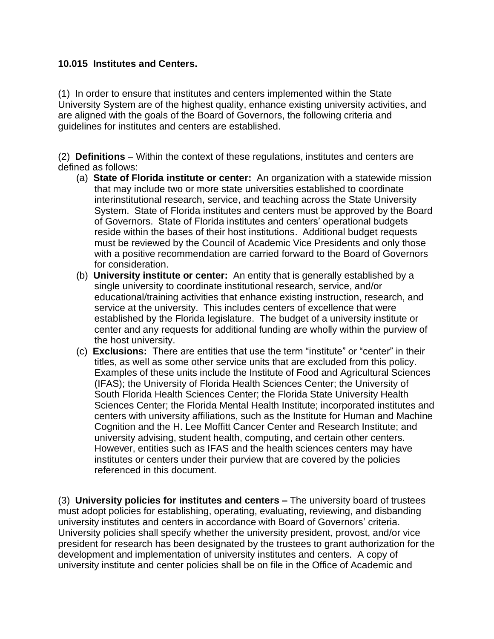## **10.015 Institutes and Centers.**

(1) In order to ensure that institutes and centers implemented within the State University System are of the highest quality, enhance existing university activities, and are aligned with the goals of the Board of Governors, the following criteria and guidelines for institutes and centers are established.

(2) **Definitions** – Within the context of these regulations, institutes and centers are defined as follows:

- (a) **State of Florida institute or center:** An organization with a statewide mission that may include two or more state universities established to coordinate interinstitutional research, service, and teaching across the State University System. State of Florida institutes and centers must be approved by the Board of Governors. State of Florida institutes and centers' operational budgets reside within the bases of their host institutions. Additional budget requests must be reviewed by the Council of Academic Vice Presidents and only those with a positive recommendation are carried forward to the Board of Governors for consideration.
- (b) **University institute or center:** An entity that is generally established by a single university to coordinate institutional research, service, and/or educational/training activities that enhance existing instruction, research, and service at the university. This includes centers of excellence that were established by the Florida legislature. The budget of a university institute or center and any requests for additional funding are wholly within the purview of the host university.
- (c) **Exclusions:** There are entities that use the term "institute" or "center" in their titles, as well as some other service units that are excluded from this policy. Examples of these units include the Institute of Food and Agricultural Sciences (IFAS); the University of Florida Health Sciences Center; the University of South Florida Health Sciences Center; the Florida State University Health Sciences Center; the Florida Mental Health Institute; incorporated institutes and centers with university affiliations, such as the Institute for Human and Machine Cognition and the H. Lee Moffitt Cancer Center and Research Institute; and university advising, student health, computing, and certain other centers. However, entities such as IFAS and the health sciences centers may have institutes or centers under their purview that are covered by the policies referenced in this document.

(3) **University policies for institutes and centers –** The university board of trustees must adopt policies for establishing, operating, evaluating, reviewing, and disbanding university institutes and centers in accordance with Board of Governors' criteria. University policies shall specify whether the university president, provost, and/or vice president for research has been designated by the trustees to grant authorization for the development and implementation of university institutes and centers. A copy of university institute and center policies shall be on file in the Office of Academic and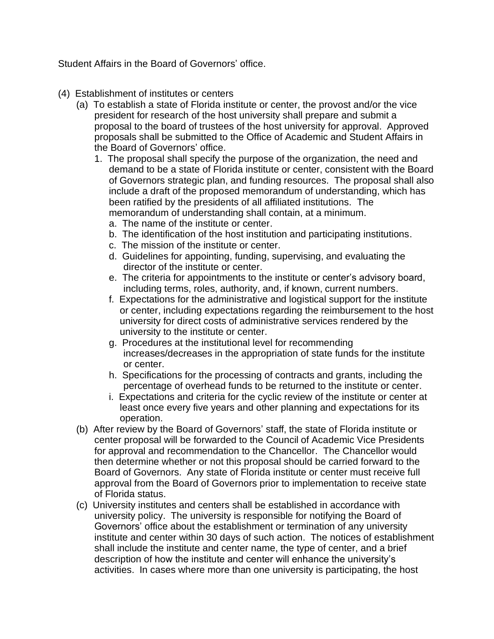Student Affairs in the Board of Governors' office.

- (4) Establishment of institutes or centers
	- (a) To establish a state of Florida institute or center, the provost and/or the vice president for research of the host university shall prepare and submit a proposal to the board of trustees of the host university for approval. Approved proposals shall be submitted to the Office of Academic and Student Affairs in the Board of Governors' office.
		- 1. The proposal shall specify the purpose of the organization, the need and demand to be a state of Florida institute or center, consistent with the Board of Governors strategic plan, and funding resources. The proposal shall also include a draft of the proposed memorandum of understanding, which has been ratified by the presidents of all affiliated institutions. The memorandum of understanding shall contain, at a minimum.
			- a. The name of the institute or center.
			- b. The identification of the host institution and participating institutions.
			- c. The mission of the institute or center.
			- d. Guidelines for appointing, funding, supervising, and evaluating the director of the institute or center.
			- e. The criteria for appointments to the institute or center's advisory board, including terms, roles, authority, and, if known, current numbers.
			- f. Expectations for the administrative and logistical support for the institute or center, including expectations regarding the reimbursement to the host university for direct costs of administrative services rendered by the university to the institute or center.
			- g. Procedures at the institutional level for recommending increases/decreases in the appropriation of state funds for the institute or center.
			- h. Specifications for the processing of contracts and grants, including the percentage of overhead funds to be returned to the institute or center.
			- i. Expectations and criteria for the cyclic review of the institute or center at least once every five years and other planning and expectations for its operation.
	- (b) After review by the Board of Governors' staff, the state of Florida institute or center proposal will be forwarded to the Council of Academic Vice Presidents for approval and recommendation to the Chancellor. The Chancellor would then determine whether or not this proposal should be carried forward to the Board of Governors. Any state of Florida institute or center must receive full approval from the Board of Governors prior to implementation to receive state of Florida status.
	- (c) University institutes and centers shall be established in accordance with university policy. The university is responsible for notifying the Board of Governors' office about the establishment or termination of any university institute and center within 30 days of such action. The notices of establishment shall include the institute and center name, the type of center, and a brief description of how the institute and center will enhance the university's activities. In cases where more than one university is participating, the host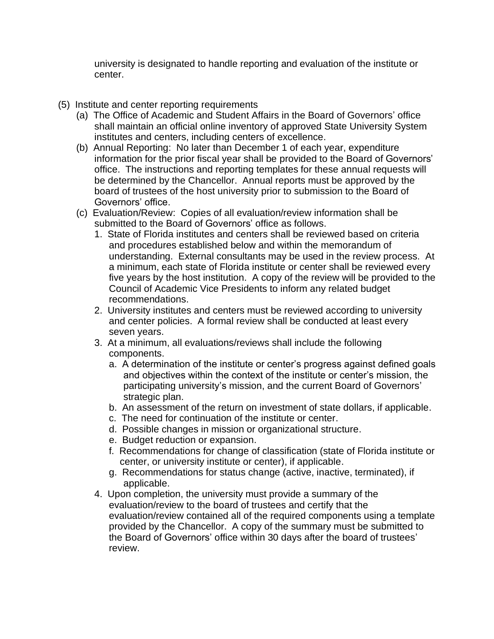university is designated to handle reporting and evaluation of the institute or center.

- (5) Institute and center reporting requirements
	- (a) The Office of Academic and Student Affairs in the Board of Governors' office shall maintain an official online inventory of approved State University System institutes and centers, including centers of excellence.
	- (b) Annual Reporting: No later than December 1 of each year, expenditure information for the prior fiscal year shall be provided to the Board of Governors' office. The instructions and reporting templates for these annual requests will be determined by the Chancellor. Annual reports must be approved by the board of trustees of the host university prior to submission to the Board of Governors' office.
	- (c) Evaluation/Review: Copies of all evaluation/review information shall be submitted to the Board of Governors' office as follows.
		- 1. State of Florida institutes and centers shall be reviewed based on criteria and procedures established below and within the memorandum of understanding. External consultants may be used in the review process. At a minimum, each state of Florida institute or center shall be reviewed every five years by the host institution. A copy of the review will be provided to the Council of Academic Vice Presidents to inform any related budget recommendations.
		- 2. University institutes and centers must be reviewed according to university and center policies. A formal review shall be conducted at least every seven years.
		- 3. At a minimum, all evaluations/reviews shall include the following components.
			- a. A determination of the institute or center's progress against defined goals and objectives within the context of the institute or center's mission, the participating university's mission, and the current Board of Governors' strategic plan.
			- b. An assessment of the return on investment of state dollars, if applicable.
			- c. The need for continuation of the institute or center.
			- d. Possible changes in mission or organizational structure.
			- e. Budget reduction or expansion.
			- f. Recommendations for change of classification (state of Florida institute or center, or university institute or center), if applicable.
			- g. Recommendations for status change (active, inactive, terminated), if applicable.
		- 4. Upon completion, the university must provide a summary of the evaluation/review to the board of trustees and certify that the evaluation/review contained all of the required components using a template provided by the Chancellor. A copy of the summary must be submitted to the Board of Governors' office within 30 days after the board of trustees' review.